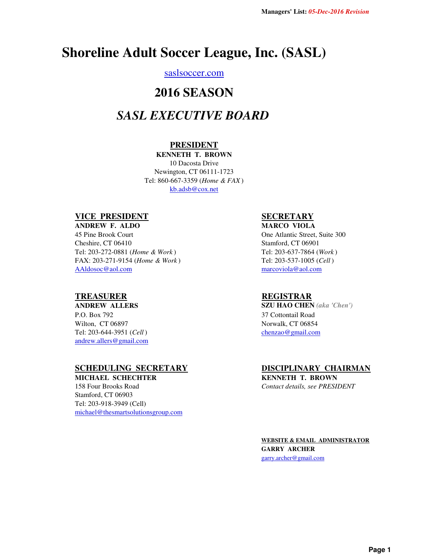# **Shoreline Adult Soccer League, Inc. (SASL)**

## saslsoccer.com

# **2016 SEASON**

# *SASL EXECUTIVE BOARD*

### **PRESIDENT**

**KENNETH T. BROWN** 10 Dacosta Drive Newington, CT 06111-1723 Tel: 860-667-3359 (*Home & FAX* ) kb.adsb@cox.net

## **VICE PRESIDENT**

AAldosoc@aol.com Tel: 203-272-0881 (*Home & Work* ) FAX: 203-271-9154 (*Home & Work* ) **ANDREW F. ALDO** 45 Pine Brook Court Cheshire, CT 06410

### **TREASURER**

#### **ANDREW ALLERS**

Wilton, CT 06897 Tel: 203-644-3951 (*Cell* ) P.O. Box 792 andrew.allers@gmail.com

#### **SCHEDULING SECRETARY**

michael@thesmartsolutionsgroup.com Tel: 203-918-3949 (Cell) **MICHAEL SCHECHTER** 158 Four Brooks Road Stamford, CT 06903

## **SECRETARY**

**MARCO VIOLA** One Atlantic Street, Suite 300 Stamford, CT 06901 Tel: 203-637-7864 (*Work* ) Tel: 203-537-1005 (*Cell* ) marcoviola@aol.com

#### **REGISTRAR**

**SZU HAO CHEN** *(aka 'Chen')* 37 Cottontail Road Norwalk, CT 06854 chenzao@gmail.com

## **DISCIPLINARY CHAIRMAN**

**KENNETH T. BROWN** *Contact details, see PRESIDENT*

**WEBSITE & EMAIL ADMINISTRATOR GARRY ARCHER** garry.archer@gmail.com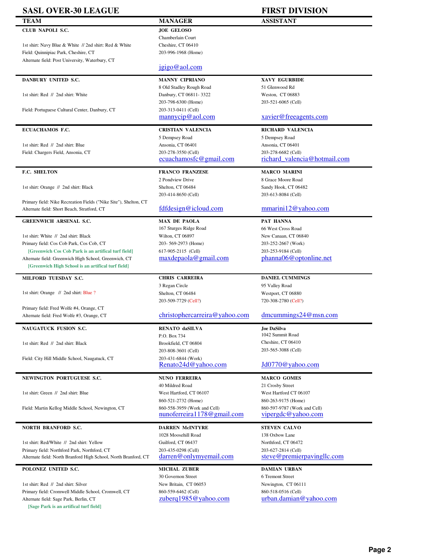| <b>SASL OVER-30 LEAGUE</b>                                                                                   |                                                | <b>FIRST DIVISION</b>                         |
|--------------------------------------------------------------------------------------------------------------|------------------------------------------------|-----------------------------------------------|
| TEAM                                                                                                         | <b>MANAGER</b>                                 | <b>ASSISTANT</b>                              |
| CLUB NAPOLI S.C.                                                                                             | <b>JOE GELOSO</b>                              |                                               |
|                                                                                                              | Chamberlain Court                              |                                               |
| 1st shirt: Navy Blue & White // 2nd shirt: Red & White                                                       | Cheshire, CT 06410                             |                                               |
| Field: Quinnipiac Park, Cheshire, CT                                                                         | 203-996-1968 (Home)                            |                                               |
| Alternate field: Post University, Waterbury, CT                                                              |                                                |                                               |
|                                                                                                              | jgigo@aol.com                                  |                                               |
| DANBURY UNITED S.C.                                                                                          | <b>MANNY CIPRIANO</b>                          | <b>XAVY EGURBIDE</b>                          |
|                                                                                                              | 8 Old Stadley Rough Road                       | 51 Glenwood Rd                                |
| 1st shirt: Red // 2nd shirt: White                                                                           | Danbury, CT 06811-3322                         | Weston, CT 06883                              |
|                                                                                                              | 203-798-6300 (Home)                            | 203-521-6065 (Cell)                           |
| Field: Portuguese Cultural Center, Danbury, CT                                                               | 203-313-0411 (Cell)                            |                                               |
|                                                                                                              | mannycip@aol.com                               | xavier@freeagents.com                         |
| ECUACHAMOS F.C.                                                                                              | <b>CRISTIAN VALENCIA</b>                       | <b>RICHARD VALENCIA</b>                       |
|                                                                                                              | 5 Dempsey Road                                 | 5 Dempsey Road                                |
| 1st shirt: Red // 2nd shirt: Blue                                                                            | Ansonia, CT 06401                              | Ansonia, CT 06401                             |
| Field: Chargers Field, Ansonia, CT                                                                           | 203-278-3550 (Cell)                            | 203-278-6682 (Cell)                           |
|                                                                                                              | ecuachamosfc@gmail.com                         | richard valencia@hotmail.com                  |
| F.C. SHELTON                                                                                                 | <b>FRANCO FRANZESE</b>                         | <b>MARCO MARINI</b>                           |
|                                                                                                              | 2 Pondview Drive                               | 8 Grace Moore Road                            |
| 1st shirt: Orange // 2nd shirt: Black                                                                        | Shelton, CT 06484                              | Sandy Hook, CT 06482                          |
|                                                                                                              | 203-414-8650 (Cell)                            | 203-613-8084 (Cell)                           |
| Primary field: Nike Recreation Fields ("Nike Site"), Shelton, CT                                             | fdfdesign@icloud.com                           | mmarini12@yahoo.com                           |
| Alternate field: Short Beach, Stratford, CT                                                                  |                                                |                                               |
| <b>GREENWICH ARSENAL S.C.</b>                                                                                | <b>MAX DE PAOLA</b>                            | PAT HANNA                                     |
|                                                                                                              | 167 Sturges Ridge Road                         | 66 West Cross Road                            |
| 1st shirt: White // 2nd shirt: Black                                                                         | Wilton, CT 06897                               | New Canaan, CT 06840                          |
| Primary field: Cos Cob Park, Cos Cob, CT                                                                     | 203-569-2973 (Home)                            | 203-252-2667 (Work)                           |
| [Greenwich Cos Cob Park is an artifical turf field]<br>Alternate field: Greenwich High School, Greenwich, CT | 617-905-2115 (Cell)<br>$max$ depaola@gmail.com | 203-253-9184 (Cell)<br>phanna06@optonline.net |
| [Greenwich High School is an artifical turf field]                                                           |                                                |                                               |
|                                                                                                              |                                                |                                               |
| MILFORD TUESDAY S.C.                                                                                         | <b>CHRIS CARREIRA</b>                          | DANIEL CUMMINGS                               |
| 1st shirt: Orange // 2nd shirt: Blue ?                                                                       | 3 Regan Circle                                 | 95 Valley Road                                |
|                                                                                                              | Shelton, CT 06484<br>203-509-7729 (Cell?)      | Westport, CT 06880<br>720-308-2780 (Cell?)    |
| Primary field: Fred Wolfe #4, Orange, CT                                                                     |                                                |                                               |
| Alternate field: Fred Wolfe #3, Orange, CT                                                                   | christophercarreira@yahoo.com                  | $d$ mcummings24@msn.com                       |
|                                                                                                              |                                                |                                               |
| <b>NAUGATUCK FUSION S.C.</b>                                                                                 | RENATO daSILVA<br>P.O. Box 734                 | Joe DaSilva<br>1042 Summit Road               |
| 1st shirt: Red // 2nd shirt: Black                                                                           | Brookfield, CT 06804                           | Cheshire, CT 06410                            |
|                                                                                                              | 203-808-3601 (Cell)                            | 203-565-3088 (Cell)                           |
| Field: City Hill Middle School, Naugatuck, CT                                                                | 203-431-6844 (Work)                            |                                               |
|                                                                                                              | Renato24d@yahoo.com                            | Jd0770@yahoo.com                              |
| NEWINGTON PORTUGUESE S.C.                                                                                    | <b>NUNO FERREIRA</b>                           | <b>MARCO GOMES</b>                            |
|                                                                                                              | 40 Mildred Road                                | 21 Crosby Street                              |
| 1st shirt: Green // 2nd shirt: Blue                                                                          | West Hartford, CT 06107                        | West Hartford CT 06107                        |
|                                                                                                              | 860-521-2732 (Home)                            | 860-263-9175 (Home)                           |
| Field: Martin Kellog Middle School, Newington, CT                                                            | 860-558-3959 (Work and Cell)                   | 860-597-9787 (Work and Cell)                  |
|                                                                                                              | nunoferreira1178@gmail.com                     | vipergdc@yahoo.com                            |
| <b>NORTH BRANFORD S.C.</b>                                                                                   | <b>DARREN McINTYRE</b>                         | <b>STEVEN CALVO</b>                           |
|                                                                                                              | 1028 Moosehill Road                            | 138 Oxbow Lane                                |
| 1st shirt: Red/White // 2nd shirt: Yellow                                                                    | Guilford, CT 06437                             | Northford, CT 06472                           |
| Primary field: Northford Park, Northford, CT                                                                 | 203-435-0298 (Cell)                            | 203-627-2814 (Cell)                           |
| Alternate field: North Branford High School, North Branford, CT                                              | darren@onlymyemail.com                         | steve@premierpavingllc.com                    |
| POLONEZ UNITED S.C.                                                                                          | <b>MICHAL ZUBER</b>                            | <b>DAMIAN URBAN</b>                           |
|                                                                                                              | 30 Governon Street                             | 6 Tremont Street                              |
| 1st shirt: Red // 2nd shirt: Silver                                                                          | New Britain, CT 06053                          | Newington, CT 06111                           |
| Primary field: Cromwell Middle School, Cromwell, CT                                                          | 860-559-6462 (Cell)                            | 860-518-0516 (Cell)                           |
| Alternate field: Sage Park, Berlin, CT                                                                       | zuberg1985@yahoo.com                           | urban.damian@yahoo.com                        |

**[Sage Park is an artifical turf field]**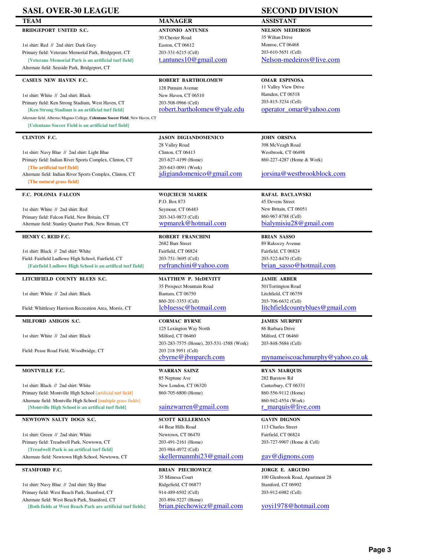| <b>SASL OVER-30 LEAGUE</b>                                                                                                              |                                                                 | <b>SECOND DIVISION</b>                                     |
|-----------------------------------------------------------------------------------------------------------------------------------------|-----------------------------------------------------------------|------------------------------------------------------------|
| <b>TEAM</b>                                                                                                                             | <b>MANAGER</b>                                                  | <b>ASSISTANT</b>                                           |
| <b>BRIDGEPORT UNITED S.C.</b>                                                                                                           | <b>ANTONIO ANTUNES</b>                                          | <b>NELSON MEDEIROS</b>                                     |
|                                                                                                                                         | 30 Chester Road                                                 | 35 Wiltan Drive                                            |
| 1st shirt: Red // 2nd shirt: Dark Grey                                                                                                  | Easton, CT 06612                                                | Monroe, CT 06468                                           |
| Primary field: Veterans Memorial Park, Bridgeport, CT                                                                                   | 203-331-6215 (Cell)                                             | 203-610-5651 (Cell)                                        |
| [Veterans Memorial Park is an artificial turf field]                                                                                    | t.antunes $10@$ gmail.com                                       | Nelson-medeiros@live.com                                   |
| Alternate field: Seaside Park, Bridgeport, CT                                                                                           |                                                                 |                                                            |
| <b>CASEUS NEW HAVEN F.C.</b>                                                                                                            | <b>ROBERT BARTHOLOMEW</b>                                       | <b>OMAR ESPINOSA</b>                                       |
|                                                                                                                                         | 128 Putnam Avenue                                               | 11 Valley View Drive                                       |
| 1st shirt: White // 2nd shirt: Black                                                                                                    | New Haven, CT 06510                                             | Hamden, CT 06518                                           |
| Primary field: Ken Strong Stadium, West Haven, CT                                                                                       | 203-508-0966 (Cell)                                             | 203-815-3234 (Cell)                                        |
| [Ken Strong Stadium is an artificial turf field]                                                                                        | robert.bartholomew@yale.edu                                     | operator_omar@yahoo.com                                    |
| Alternate field: Albertus Magnus College, Celentano Soccer Field, New Haven, CT<br>[Celentano Soccer Field is an artificial turf field] |                                                                 |                                                            |
| <b>CLINTON F.C.</b>                                                                                                                     | <b>JASON DIGIANDOMENICO</b>                                     | <b>JOHN ORSINA</b>                                         |
|                                                                                                                                         | 28 Valley Road                                                  | 398 McVeagh Road                                           |
| 1st shirt: Navy Blue // 2nd shirt: Light Blue                                                                                           | Clinton, CT 06413                                               | Westbrook, CT 06498                                        |
| Primary field: Indian River Sports Complex, Clinton, CT                                                                                 | 203-627-4199 (Home)                                             | 860-227-4287 (Home & Work)                                 |
| [The artificial turf field]                                                                                                             | 203-643-0091 (Work)                                             |                                                            |
| Alternate field: Indian River Sports Complex, Clinton, CT                                                                               | jdigiandomenico@gmail.com                                       | jorsina@westbrookblock.com                                 |
| [The natural grass field]                                                                                                               |                                                                 |                                                            |
| F.C. POLONIA FALCON                                                                                                                     | <b>WOJCIECH MAREK</b>                                           | <b>RAFAL BACLAWSKI</b>                                     |
|                                                                                                                                         | P.O. Box 873                                                    | 45 Devens Street                                           |
| 1st shirt: White // 2nd shirt: Red                                                                                                      | Seymour, CT 06483                                               | New Britain, CT 06051                                      |
| Primary field: Falcon Field, New Britain, CT                                                                                            | 203-343-9873 (Cell)                                             | 860-967-8788 (Cell)                                        |
| Alternate field: Stanley Quarter Park, New Britain, CT                                                                                  | wpmarek@hotmail.com                                             | bialymisiu28@gmail.com                                     |
| HENRY C. REID F.C.                                                                                                                      | <b>ROBERT FRANCHINI</b>                                         | <b>BRIAN SASSO</b>                                         |
|                                                                                                                                         | 2682 Burr Street                                                | 89 Rakoczy Avenue                                          |
| 1st shirt: Black // 2nd shirt: White                                                                                                    | Fairfield, CT 06824                                             | Fairfield, CT 06824                                        |
| Field: Fairfield Ludlowe High School, Fairfield, CT                                                                                     | 203-751-3695 (Cell)                                             | 203-522-8470 (Cell)                                        |
| [Fairfield Ludlowe High School is an artifical turf field]                                                                              | rsrfranchini@yahoo.com                                          | brian sasso@hotmail.com                                    |
| LITCHFIELD COUNTY BLUES S.C.                                                                                                            | <b>MATTHEW P. McDEVITT</b>                                      | <b>JAMIE ARBER</b>                                         |
|                                                                                                                                         | 35 Prospect Mountain Road                                       | 501Torrington Road                                         |
| 1st shirt: White // 2nd shirt: Black                                                                                                    | Bantam, CT 06750                                                | Litchfield, CT 06759                                       |
| Field: Whittlesey Harrison Recreation Area, Morris, CT                                                                                  | 860-201-3353 (Cell)<br>lcbluessc@hotmail.com                    | 203-706-6632 (Cell)<br>litchfieldcountyblues@gmail.com     |
|                                                                                                                                         |                                                                 |                                                            |
| MILFORD AMIGOS S.C.                                                                                                                     | <b>CORMAC BYRNE</b>                                             | <b>JAMES MURPHY</b>                                        |
|                                                                                                                                         | 125 Lexington Way North                                         | 86 Barbara Drive                                           |
| 1st shirt: White // 2nd shirt: Black                                                                                                    | Milford, CT 06460                                               | Milford, CT 06460                                          |
| Field: Pease Road Field, Woodbridge, CT                                                                                                 | 203-283-7575 (Home), 203-531-1588 (Work)<br>203 218 5951 (Cell) | 203-848-5684 (Cell)                                        |
|                                                                                                                                         | cbyrne@jbmparch.com                                             | mynameiscoachmurphy@yahoo.co.uk                            |
| MONTVILLE F.C.                                                                                                                          | <b>WARRAN SAINZ</b>                                             | <b>RYAN MARQUIS</b>                                        |
|                                                                                                                                         | 85 Neptune Ave                                                  | 282 Barstow Rd                                             |
| 1st shirt: Black // 2nd shirt: White                                                                                                    | New London, CT 06320                                            | Canterbury, CT 06331                                       |
| Primary field: Montville High School [artificial turf field]                                                                            | 860-705-6800 (Home)                                             | 860-556-9112 (Home)                                        |
| Alternate field: Montville High School [multiple grass fields]                                                                          |                                                                 | 860-942-4554 (Work)                                        |
| [Montville High School is an artifical turf field]                                                                                      | sainzware <sub>n</sub> @gmail.com                               | r marquis@live.com                                         |
| NEWTOWN SALTY DOGS S.C.                                                                                                                 | <b>SCOTT KELLERMAN</b>                                          | <b>GAVIN DIGNON</b>                                        |
|                                                                                                                                         | 44 Bear Hills Road                                              | 113 Charles Street                                         |
| 1st shirt: Green // 2nd shirt: White                                                                                                    | Newtown, CT 06470                                               | Fairfield, CT 06824                                        |
| Primary field: Treadwell Park, Newtown, CT                                                                                              | 203-491-2161 (Home)                                             | 203-727-9907 (Home & Cell)                                 |
| [Treadwell Park is an artifical turf field]<br>Alternate field: Newtown High School, Newtown, CT                                        | 203-984-4972 (Cell)<br>skellermannhi23@gmail.com                | $\frac{gav@dignons.com}{gav@dignons.com}$                  |
|                                                                                                                                         |                                                                 |                                                            |
| STAMFORD F.C.                                                                                                                           | <b>BRIAN PIECHOWICZ</b><br>35 Mimosa Court                      | <b>JORGE E. ARGUDO</b><br>100 Glenbrook Road, Apartment 28 |
| 1st shirt: Navy Blue // 2nd shirt: Sky Blue                                                                                             | Ridgefield, CT 06877                                            | Stamford, CT 06902                                         |
| Primary field: West Beach Park, Stamford, CT                                                                                            | 914-489-6502 (Cell)                                             | 203-912-6982 (Cell)                                        |
| Alternate field: West Beach Park, Stamford, CT                                                                                          | 203-894-5227 (Home)                                             |                                                            |
| [Both fields at West Beach Park are artificial turf fields]                                                                             | brian.piechowicz@gmail.com                                      | yoyi1978@hotmail.com                                       |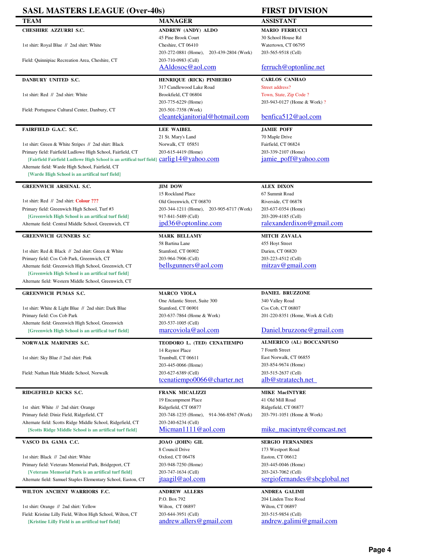| <b>SASL MASTERS LEAGUE (Over-40s)</b>                                                   |                                                      | <b>FIRST DIVISION</b>                       |
|-----------------------------------------------------------------------------------------|------------------------------------------------------|---------------------------------------------|
| <b>TEAM</b>                                                                             | <b>MANAGER</b>                                       | <b>ASSISTANT</b>                            |
| <b>CHESHIRE AZZURRI S.C.</b>                                                            | <b>ANDREW (ANDY) ALDO</b>                            | <b>MARIO FERRUCCI</b>                       |
|                                                                                         | 45 Pine Brook Court                                  | 30 School House Rd                          |
| 1st shirt: Royal Blue // 2nd shirt: White                                               | Cheshire, CT 06410                                   | Watertown, CT 06795                         |
|                                                                                         | 203-272-0881 (Home),<br>203-439-2804 (Work)          | 203-565-9518 (Cell)                         |
| Field: Quinnipiac Recreation Area, Cheshire, CT                                         | 203-710-0983 (Cell)                                  |                                             |
|                                                                                         | AAldosoc@aol.com                                     | ferruch@optonline.net                       |
| DANBURY UNITED S.C.                                                                     | <b>HENRIQUE (RICK) PINHEIRO</b>                      | <b>CARLOS CANHAO</b>                        |
|                                                                                         | 317 Candlewood Lake Road                             | Street address?                             |
| 1st shirt: Red // 2nd shirt: White                                                      | Brookfield, CT 06804                                 | Town, State, Zip Code ?                     |
|                                                                                         | 203-775-6229 (Home)                                  | 203-943-0127 (Home & Work)?                 |
| Field: Portuguese Cultural Center, Danbury, CT                                          | 203-501-7358 (Work)                                  |                                             |
|                                                                                         | cleantekjanitorial@hotmail.com                       | benfica512@aol.com                          |
| FAIRFIELD G.A.C. S.C.                                                                   | <b>LEE WAIBEL</b>                                    | <b>JAMIE POFF</b>                           |
|                                                                                         | 21 St. Mary's Land                                   | 70 Maple Drive                              |
| 1st shirt: Green & White Stripes // 2nd shirt: Black                                    | Norwalk, CT 05851                                    | Fairfield, CT 06824                         |
| Primary field: Fairfield Ludlowe High School, Fairfield, CT                             | 203-615-4419 (Home)                                  | 203-339-2107 (Home)                         |
| [Fairfield Fairfield Ludlowe High School is an artifical turf field] Carlig14@yahoo.com |                                                      | jamie poff@yahoo.com                        |
| Alternate field: Warde High School, Fairfield, CT                                       |                                                      |                                             |
| [Warde High School is an artifical turf field]                                          |                                                      |                                             |
| <b>GREENWICH ARSENAL S.C.</b>                                                           | <b>JIM DOW</b>                                       | <b>ALEX DIXON</b>                           |
|                                                                                         | 15 Rockland Place                                    | 67 Summit Road                              |
| 1st shirt: Red // 2nd shirt: Colour ???                                                 | Old Greenwich, CT 06870                              | Riverside, CT 06878                         |
| Primary field: Greenwich High School, Turf #3                                           | 203-344-1211 (Home), 203-905-6717 (Work)             | 203-637-0354 (Home)                         |
| [Greenwich High School is an artifical turf field]                                      | 917-841-5489 (Cell)                                  | 203-209-4185 (Cell)                         |
| Alternate field: Central Middle School, Greenwich, CT                                   | jpd36@optonline.com                                  | ralexanderdixon@gmail.com                   |
|                                                                                         |                                                      |                                             |
| <b>GREENWICH GUNNERS S.C</b>                                                            | <b>MARK BELLAMY</b><br>58 Bartina Lane               | <b>MITCH ZAVALA</b>                         |
| 1st shirt: Red & Black // 2nd shirt: Green & White                                      | Stamford, CT 06902                                   | 455 Hoyt Street<br>Darien, CT 06820         |
| Primary field: Cos Cob Park, Greenwich, CT                                              | 203-964-7906 (Cell)                                  | 203-223-4512 (Cell)                         |
| Alternate field: Greenwich High School, Greenwich, CT                                   | <u>bellsgunners@aol.com</u>                          | <u>mitzav@gmail.com</u>                     |
| [Greenwich High School is an artifical turf field]                                      |                                                      |                                             |
| Alternate field: Western Middle School, Greenwich, CT                                   |                                                      |                                             |
|                                                                                         |                                                      |                                             |
| <b>GREENWICH PUMAS S.C.</b>                                                             | <b>MARCO VIOLA</b>                                   | <b>DANIEL BRUZZONE</b>                      |
| 1st shirt: White & Light Blue // 2nd shirt: Dark Blue                                   | One Atlantic Street, Suite 300<br>Stamford, CT 06901 | 340 Valley Road<br>Cos Cob, CT 06807        |
| Primary field: Cos Cob Park                                                             | 203-637-7864 (Home & Work)                           | 201-220-8351 (Home, Work & Cell)            |
| Alternate field: Greenwich High School, Greenwich                                       | 203-537-1005 (Cell)                                  |                                             |
| [Greenwich High School is an artifical turf field]                                      | marcoviola@aol.com                                   | Daniel.bruzzone@gmail.com                   |
|                                                                                         |                                                      |                                             |
| NORWALK MARINERS S.C.                                                                   | TEODORO L. (TED) CENATIEMPO<br>14 Raynor Place       | ALMERICO (AL) BOCCANFUSO<br>7 Fourth Street |
| 1st shirt: Sky Blue // 2nd shirt: Pink                                                  | Trumbull, CT 06611                                   | East Norwalk, CT 06855                      |
|                                                                                         | 203-445-0066 (Home)                                  | 203-854-9674 (Home)                         |
| Field: Nathan Hale Middle School, Norwalk                                               | 203-627-6389 (Cell)                                  | 203-515-2637 (Cell)                         |
|                                                                                         | tcenatiempo0066@charter.net                          | alb@stratatech.net                          |
| RIDGEFIELD KICKS S.C.                                                                   | <b>FRANK MICALIZZI</b>                               |                                             |
|                                                                                         | 19 Encampment Place                                  | <b>MIKE MacINTYRE</b><br>41 Old Mill Road   |
| 1st shirt: White // 2nd shirt: Orange                                                   | Ridgefield, CT 06877                                 | Ridgefield, CT 06877                        |
| Primary field: Diniz Field, Ridgefield, CT                                              | 203-748-1235 (Home),<br>914-366-8567 (Work)          | 203-791-1051 (Home & Work)                  |
| Alternate field: Scotts Ridge Middle School, Ridgefield, CT                             | 203-240-6234 (Cell)                                  |                                             |
| [Scotts Ridge Middle School is an artifical turf field]                                 | Micman1111@aol.com                                   | mike_macintyre@comcast.net                  |
| VASCO DA GAMA C.C.                                                                      | JOAO (JOHN) GIL                                      | <b>SERGIO FERNANDES</b>                     |
|                                                                                         | 8 Council Drive                                      | 173 Westport Road                           |
| 1st shirt: Black // 2nd shirt: White                                                    | Oxford, CT 06478                                     | Easton, CT 06612                            |
| Primary field: Veterans Memorial Park, Bridgeport, CT                                   | 203-948-7250 (Home)                                  | 203-445-0046 (Home)                         |
| [Veterans Memorial Park is an artifical turf field]                                     | 203-747-1634 (Cell)                                  | 203-243-7062 (Cell)                         |
| Alternate field: Samuel Staples Elementary School, Easton, CT                           | jtaagil@aol.com                                      | sergiofernandes@sbcglobal.net               |
| WILTON ANCIENT WARRIORS F.C.                                                            | <b>ANDREW ALLERS</b>                                 | <b>ANDREA GALIMI</b>                        |
|                                                                                         | P.O. Box 792                                         | 204 Linden Tree Road                        |
| 1st shirt: Orange // 2nd shirt: Yellow                                                  | Wilton, CT 06897                                     | Wilton, CT 06897                            |
| Field: Kristine Lilly Field, Wilton High School, Wilton, CT                             | 203-644-3951 (Cell)                                  | 203-515-9854 (Cell)                         |
| [Kristine Lilly Field is an artifical turf field]                                       | andrew.allers@gmail.com                              | andrew.galimi@gmail.com                     |

L.

÷

L.

Ē.

÷.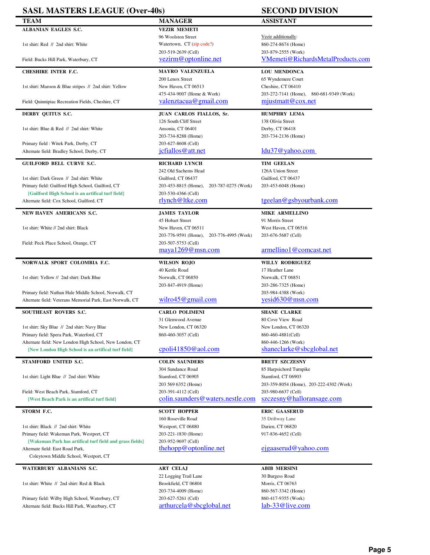| <b>SASL MASTERS LEAGUE (Over-40s)</b>                                                                          |                                                                    | <b>SECOND DIVISION</b>                                           |
|----------------------------------------------------------------------------------------------------------------|--------------------------------------------------------------------|------------------------------------------------------------------|
| <b>TEAM</b>                                                                                                    | <b>MANAGER</b>                                                     | <b>ASSISTANT</b>                                                 |
| <b>ALBANIAN EAGLES S.C.</b>                                                                                    | <b>VEZIR MEMETI</b>                                                |                                                                  |
|                                                                                                                | 96 Woolston Street                                                 | Vezir additionally:                                              |
| 1st shirt: Red // 2nd shirt: White                                                                             | Watertown, CT (zip code?)                                          | 860-274-8674 (Home)                                              |
|                                                                                                                | 203-519-2639 (Cell)                                                | 203-879-2555 (Work)                                              |
| Field: Bucks Hill Park, Waterbury, CT                                                                          | vezirm@optonline.net                                               | VMemeti@RichardsMetalProducts.com                                |
| <b>CHESHIRE INTER F.C.</b>                                                                                     | <b>MAYRO VALENZUELA</b>                                            | <b>LOU MENDONCA</b>                                              |
|                                                                                                                | 200 Lenox Street                                                   | 65 Wyndemere Court                                               |
| 1st shirt: Maroon & Blue stripes // 2nd shirt: Yellow                                                          | New Haven, CT 06513                                                | Cheshire, CT 06410                                               |
|                                                                                                                | 475-434-9007 (Home & Work)<br>valenztacua@gmail.com                | 203-272-7141 (Home),<br>860-681-9349 (Work)<br>mjustmatt@cox.net |
| Field: Quinnipiac Recreation Fields, Cheshire, CT                                                              |                                                                    |                                                                  |
| DERBY QUITUS S.C.                                                                                              | JUAN CARLOS FIALLOS, Sr.                                           | <b>HUMPHRY LEMA</b>                                              |
|                                                                                                                | 126 South Cliff Street                                             | 138 Olivia Street                                                |
| 1st shirt: Blue & Red // 2nd shirt: White                                                                      | Ansonia, CT 06401                                                  | Derby, CT 06418                                                  |
| Primary field: Witek Park, Derby, CT                                                                           | 203-734-8288 (Home)<br>203-627-8608 (Cell)                         | 203-734-2136 (Home)                                              |
| Alternate field: Bradley School, Derby, CT                                                                     | jcfiallos@att.net                                                  | $ldu37@$ yahoo.com                                               |
|                                                                                                                |                                                                    |                                                                  |
| <b>GUILFORD BELL CURVE S.C.</b>                                                                                | RICHARD LYNCH                                                      | <b>TIM GEELAN</b>                                                |
|                                                                                                                | 242 Old Sachems Head                                               | 126A Union Street                                                |
| 1st shirt: Dark Green // 2nd shirt: White                                                                      | Guilford, CT 06437                                                 | Guilford, CT 06437                                               |
| Primary field: Guilford High School, Guilford, CT                                                              | 203-453-8815 (Home),<br>203-787-0275 (Work)                        | 203-453-6048 (Home)                                              |
| [Guilford High School is an artifical turf field]<br>Alternate field: Cox School, Guilford, CT                 | 203-530-4366 (Cell)<br>rlynch@ltke.com                             | tgeelan@gsbyourbank.com                                          |
|                                                                                                                |                                                                    |                                                                  |
| NEW HAVEN AMERICANS S.C.                                                                                       | <b>JAMES TAYLOR</b>                                                | <b>MIKE ARMELLINO</b>                                            |
|                                                                                                                | 45 Hobart Street                                                   | 91 Morris Street                                                 |
| 1st shirt: White // 2nd shirt: Black                                                                           | New Haven, CT 06511                                                | West Haven, CT 06516                                             |
|                                                                                                                | 203-776-9591 (Home),<br>203-776-4995 (Work)<br>203-507-5753 (Cell) | 203-676-5687 (Cell)                                              |
| Field: Peck Place School, Orange, CT                                                                           | maya1269@msn.com                                                   | armellino1@comcast.net                                           |
|                                                                                                                |                                                                    |                                                                  |
| NORWALK SPORT COLOMBIA F.C.                                                                                    | <b>WILSON ROJO</b>                                                 | <b>WILLY RODRIGUEZ</b>                                           |
|                                                                                                                |                                                                    |                                                                  |
|                                                                                                                | 40 Kettle Road                                                     | 17 Heather Lane                                                  |
| 1st shirt: Yellow // 2nd shirt: Dark Blue                                                                      | Norwalk, CT 06850                                                  | Norwalk, CT 06851                                                |
|                                                                                                                | 203-847-4919 (Home)                                                | 203-286-7325 (Home)                                              |
| Primary field: Nathan Hale Middle School, Norwalk, CT                                                          |                                                                    | 203-984-4388 (Work)                                              |
| Alternate field: Veterans Memorial Park, East Norwalk, CT                                                      | wilro $45@$ gmail.com                                              | yesid630@msn.com                                                 |
| SOUTHEAST ROVERS S.C.                                                                                          | <b>CARLO POLIMENI</b>                                              | <b>SHANE CLARKE</b>                                              |
|                                                                                                                | 31 Glenwood Avenue                                                 | 80 Cove View Road                                                |
| 1st shirt: Sky Blue // 2nd shirt: Navy Blue                                                                    | New London, CT 06320                                               | New London, CT 06320                                             |
| Primary field: Spera Park, Waterford, CT                                                                       | 860-460-3057 (Cell)                                                | 860-460-4881(Cell)                                               |
| Alternate field: New London High School, New London, CT<br>[New London High School is an artifical turf field] | cpoli41850@aol.com                                                 | 860-446-1266 (Work)<br>shaneclarke@sbcglobal.net                 |
|                                                                                                                |                                                                    |                                                                  |
| STAMFORD UNITED S.C.                                                                                           | <b>COLIN SAUNDERS</b>                                              | <b>BRETT SZCZESNY</b>                                            |
|                                                                                                                | 304 Sundance Road                                                  | 85 Harpsichord Turnpike                                          |
| 1st shirt: Light Blue // 2nd shirt: White                                                                      | Stamford, CT 06905                                                 | Stamford, CT 06903                                               |
| Field: West Beach Park, Stamford, CT                                                                           | 203 569 6352 (Home)<br>203-391-4112 (Cell)                         | 203-359-8054 (Home), 203-222-4302 (Work)<br>203-980-6637 (Cell)  |
| [West Beach Park is an artifical turf field]                                                                   | colin.saunders@waters.nestle.com                                   | szczesny@halloransage.com                                        |
|                                                                                                                |                                                                    |                                                                  |
| STORM F.C.                                                                                                     | <b>SCOTT HOPPER</b>                                                | <b>ERIC GAASERUD</b>                                             |
| 1st shirt: Black // 2nd shirt: White                                                                           | 160 Roseville Road<br>Westport, CT 06880                           | 35 Driftway Lane<br>Darien, CT 06820                             |
| Primary field: Wakeman Park, Westport, CT                                                                      | 203-221-1830 (Home)                                                | 917-836-4652 (Cell)                                              |
| [Wakeman Park has artifical turf field and grass fields]                                                       | 203-952-9697 (Cell)                                                |                                                                  |
| Alternate field: East Road Park,                                                                               | <u>thehopp@optonline.net</u>                                       | ejgaaserud@yahoo.com                                             |
| Coleytown Middle School, Westport, CT                                                                          |                                                                    |                                                                  |
| WATERBURY ALBANIANS S.C.                                                                                       | <b>ART CELAJ</b>                                                   | <b>ABIB MERSINI</b>                                              |
|                                                                                                                | 22 Logging Trail Lane                                              | 30 Burgess Road                                                  |
| 1st shirt: White // 2nd shirt: Red & Black                                                                     | Brookfield, CT 06804                                               | Morris, CT 06763                                                 |
|                                                                                                                | 203-734-4009 (Home)                                                | 860-567-3342 (Home)                                              |
| Primary field: Wilby High School, Waterbury, CT<br>Alternate field: Bucks Hill Park, Waterbury, CT             | 203-627-5261 (Cell)<br>arthurcela@sbcglobal.net                    | 860-417-9355 (Work)<br>lab-33@live.com                           |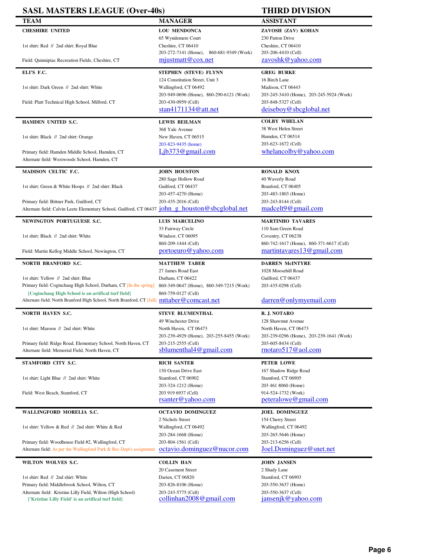| <b>SASL MASTERS LEAGUE (Over-40s)</b>                                                                              |                                                                                        | <b>THIRD DIVISION</b>                                           |
|--------------------------------------------------------------------------------------------------------------------|----------------------------------------------------------------------------------------|-----------------------------------------------------------------|
| <b>TEAM</b>                                                                                                        | <b>MANAGER</b>                                                                         | <b>ASSISTANT</b>                                                |
| <b>CHESHIRE UNITED</b>                                                                                             | <b>LOU MENDONCA</b>                                                                    | ZAVOSH (ZAV) KOHAN                                              |
|                                                                                                                    | 65 Wyndemere Court                                                                     | 230 Patton Drive                                                |
| 1st shirt: Red // 2nd shirt: Royal Blue                                                                            | Cheshire, CT 06410                                                                     | Cheshire, CT 06410                                              |
|                                                                                                                    | 203-272-7141 (Home),<br>860-681-9349 (Work)                                            | 203-206-4410 (Cell)                                             |
| Field: Quinnipiac Recreation Fields, Cheshire, CT                                                                  | mjustmatt@cox.net                                                                      | zavoshk@yahoo.com                                               |
| ELI'S F.C.                                                                                                         | STEPHEN (STEVE) FLYNN                                                                  | <b>GREG BURKE</b>                                               |
|                                                                                                                    | 124 Constitution Street, Unit 3                                                        | 16 Birch Lane                                                   |
| 1st shirt: Dark Green // 2nd shirt: White                                                                          | Wallingford, CT 06492                                                                  | Madison, CT 06443                                               |
| Field: Platt Technical High School, Milford, CT                                                                    | 203-949-0696 (Home), 860-290-6121 (Work)<br>203-430-0959 (Cell)                        | 203-245-3410 (Home), 203-245-5924 (Work)<br>203-848-5327 (Cell) |
|                                                                                                                    | stan $4171134@$ att.net                                                                | deiseboy@sbcglobal.net                                          |
|                                                                                                                    |                                                                                        | <b>COLBY WHELAN</b>                                             |
| HAMDEN UNITED S.C.                                                                                                 | <b>LEWIS BEILMAN</b><br>368 Yale Avenue                                                | 38 West Helen Street                                            |
| 1st shirt: Black // 2nd shirt: Orange                                                                              | New Haven, CT 06515                                                                    | Hamden, CT 06514                                                |
|                                                                                                                    | 203-823-9435 (home)                                                                    | 203-623-1672 (Cell)                                             |
| Primary field: Hamden Middle School, Hamden, CT                                                                    | Lib373@gmail.com                                                                       | whelancolby@yahoo.com                                           |
| Alternate field: Westwoods School, Hamden, CT                                                                      |                                                                                        |                                                                 |
| <b>MADISON CELTIC F.C.</b>                                                                                         | <b>JOHN HOUSTON</b>                                                                    | <b>RONALD KNOX</b>                                              |
|                                                                                                                    | 280 Sage Hollow Road                                                                   | 40 Waverly Road                                                 |
| 1st shirt: Green & White Hoops // 2nd shirt: Black                                                                 | Guilford, CT 06437                                                                     | Branford, CT 06405                                              |
|                                                                                                                    | 203-457-4270 (Home)                                                                    | 203-483-1803 (Home)                                             |
| Primary field: Bittner Park, Guilford, CT                                                                          | 203-435-2016 (Cell)                                                                    | 203-243-8144 (Cell)                                             |
| Alternate field: Calvin Leete Elementary School, Guilford, CT 06437 john g houston@sbcglobal.net                   |                                                                                        | madeel 9@gmail.com                                              |
| NEWINGTON PORTUGUESE S.C.                                                                                          | <b>LUIS MARCELINO</b>                                                                  | <b>MARTINHO TAVARES</b>                                         |
|                                                                                                                    | 33 Fairway Circle                                                                      | 110 Sam Green Road                                              |
| 1st shirt: Black // 2nd shirt: White                                                                               | Windsor, CT 06095<br>860-209-1444 (Cell)                                               | Coventry, CT 06238<br>860-742-1617 (Home), 860-371-6617 (Cell)  |
| Field: Martin Kellog Middle School, Newington, CT                                                                  | portoeuro@yahoo.com                                                                    | martintavares13@gmail.com                                       |
|                                                                                                                    |                                                                                        |                                                                 |
|                                                                                                                    |                                                                                        |                                                                 |
| <b>NORTH BRANFORD S.C.</b>                                                                                         | <b>MATTHEW TABER</b>                                                                   | <b>DARREN McINTYRE</b>                                          |
|                                                                                                                    | 27 James Road East                                                                     | 1028 Moosehill Road                                             |
| 1st shirt: Yellow // 2nd shirt: Blue<br>Primary field: Coginchaug High School, Durham, CT [In the spring]          | Durham, CT 06422                                                                       | Guilford, CT 06437                                              |
| [Coginchaug High School is an artifical turf field]                                                                | 860-349-0647 (Home), 860-349-7215 (Work)<br>860-759-0127 (Cell)                        | 203-435-0298 (Cell)                                             |
| Alternate field: North Branford High School, North Branford, CT [fall] mttaber@comcast.net                         |                                                                                        | darren@onlymyemail.com                                          |
|                                                                                                                    |                                                                                        |                                                                 |
| NORTH HAVEN S.C.                                                                                                   | <b>STEVE BLUMENTHAL</b>                                                                | R.J. NOTARO                                                     |
| 1st shirt: Maroon // 2nd shirt: White                                                                              | 49 Winchester Drive<br>North Haven, CT 06473                                           | 128 Shawmut Avenue<br>North Haven, CT 06473                     |
|                                                                                                                    | 203-239-4929 (Home), 203-255-8455 (Work)                                               | 203-239-0296 (Home), 203-239-1641 (Work)                        |
| Primary field: Ridge Road, Elementary School, North Haven, CT                                                      | 203-215-2555 (Cell)                                                                    | 203-605-8434 (Cell)                                             |
| Alternate field: Memorial Field, North Haven, CT                                                                   | sublumenthal 4@gmail.com                                                               | rnotaro 517@aol.com                                             |
| STAMFORD CITY S.C.                                                                                                 | <b>RICH SANTER</b>                                                                     | PETER LOWE                                                      |
|                                                                                                                    | 130 Ocean Drive East                                                                   | 167 Shadow Ridge Road                                           |
| 1st shirt: Light Blue // 2nd shirt: White                                                                          | Stamford, CT 06902                                                                     | Stamford, CT 06905                                              |
|                                                                                                                    | 203-324-1212 (Home)                                                                    | 203 461 8060 (Home)                                             |
| Field: West Beach, Stamford, CT                                                                                    | 203 919 6937 (Cell)                                                                    | 914-524-1732 (Work)<br>peteralowe@gmail.com                     |
|                                                                                                                    | $\overline{\text{rsanter}\omega\text{yahoo.com}}$                                      |                                                                 |
| WALLINGFORD MORELIA S.C.                                                                                           | <b>OCTAVIO DOMINGUEZ</b>                                                               | <b>JOEL DOMINGUEZ</b>                                           |
|                                                                                                                    | 2 Nichols Street                                                                       | 154 Cherry Street                                               |
| 1st shirt: Yellow & Red // 2nd shirt: White & Red                                                                  | Wallingford, CT 06492<br>203-284-1668 (Home)                                           | Wallingford, CT 06492<br>203-265-5646 (Home)                    |
| Primary field: Woodhouse Field #2, Wallingford, CT                                                                 | 203-804-1561 (Cell)                                                                    | 203-213-6256 (Cell)                                             |
| Alternate field: As per the Wallingford Park & Rec Dept's assignment                                               | octavio.dominguez@nucor.com                                                            | Joel.Dominguez@snet.net                                         |
| WILTON WOLVES S.C.                                                                                                 | <b>COLLIN HAN</b>                                                                      | <b>JOHN JANSEN</b>                                              |
|                                                                                                                    | 20 Casement Street                                                                     | 2 Shady Lane                                                    |
| 1st shirt: Red // 2nd shirt: White                                                                                 | Darien, CT 06820                                                                       | Stamford, CT 06903                                              |
| Primary field: Middlebrook School, Wilton, CT                                                                      | 203-826-8106 (Home)                                                                    | 203-550-3637 (Home)                                             |
| Alternate field: Kristine Lilly Field, Wilton (High School)<br>['Kristine Lilly Field' is an artifical turf field] | 203-243-5775 (Cell)<br>$\frac{\text{collinhan2008}}{0 \text{g} \cdot \text{mail.com}}$ | 203-550-3637 (Cell)<br>jansenjk@yahoo.com                       |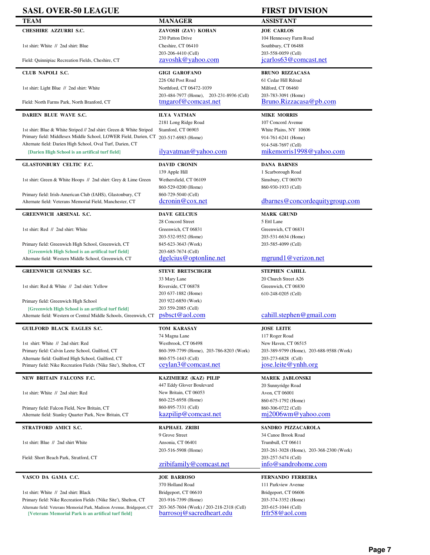| <b>SASL OVER-50 LEAGUE</b>                                                                                              |                                                                 | <b>FIRST DIVISION</b>                                           |
|-------------------------------------------------------------------------------------------------------------------------|-----------------------------------------------------------------|-----------------------------------------------------------------|
| <b>TEAM</b>                                                                                                             | <b>MANAGER</b>                                                  | <b>ASSISTANT</b>                                                |
| <b>CHESHIRE AZZURRI S.C.</b>                                                                                            | ZAVOSH (ZAV) KOHAN                                              | <b>JOE CARLOS</b>                                               |
|                                                                                                                         | 230 Patton Drive                                                | 104 Hennessey Farm Road                                         |
| 1st shirt: White // 2nd shirt: Blue                                                                                     | Cheshire, CT 06410                                              | Southbury, CT 06488                                             |
|                                                                                                                         | 203-206-4410 (Cell)                                             | 203-558-0059 (Cell)                                             |
| Field: Quinnipiac Recreation Fields, Cheshire, CT                                                                       | zavoshk@yahoo.com                                               | jcarlos63@comcast.net                                           |
| CLUB NAPOLI S.C.                                                                                                        | <b>GIGI GAROFANO</b>                                            | <b>BRUNO RIZZACASA</b>                                          |
|                                                                                                                         | 226 Old Post Road                                               | 61 Cedar Hill Rdoad                                             |
| 1st shirt: Light Blue // 2nd shirt: White                                                                               | Northford, CT 06472-1039                                        | Milford, CT 06460                                               |
|                                                                                                                         | 203-484-7977 (Home), 203-231-8936 (Cell)                        | 203-783-3091 (Home)                                             |
| Field: North Farms Park, North Branford, CT                                                                             | tmgarof@comcast.net                                             | Bruno.Rizzacasa@pb.com                                          |
| DARIEN BLUE WAVE S.C.                                                                                                   | <b>ILYA VATMAN</b>                                              | <b>MIKE MORRIS</b>                                              |
|                                                                                                                         | 2181 Long Ridge Road                                            | 107 Concord Avenue                                              |
| 1st shirt: Blue & White Striped // 2nd shirt: Green & White Striped                                                     | Stamford, CT 06903                                              | White Plains, NY 10606                                          |
| Primary field: Middlesex Middle School, LOWER Field, Darien, CT                                                         | 203-517-6983 (Home)                                             | 914-761-6241 (Home)                                             |
| Alternate field: Darien High School, Oval Turf, Darien, CT                                                              |                                                                 | 914-548-7697 (Cell)                                             |
| [Darien High School is an artifical turf field]                                                                         | ilyavatman@yahoo.com                                            | mikemorris1998@yahoo.com                                        |
| <b>GLASTONBURY CELTIC F.C.</b>                                                                                          | <b>DAVID CRONIN</b>                                             | <b>DANA BARNES</b>                                              |
|                                                                                                                         | 139 Apple Hill                                                  | 1 Scarborough Road                                              |
| 1st shirt: Green & White Hoops // 2nd shirt: Grey & Lime Green                                                          | Wethersfield, CT 06109                                          | Simsbury, CT 06070                                              |
|                                                                                                                         | 860-529-0200 (Home)                                             | 860-930-1933 (Cell)                                             |
| Primary field: Irish-American Club (IAHS), Glastonbury, CT                                                              | 860-729-5040 (Cell)                                             |                                                                 |
| Alternate field: Veterans Memorial Field, Manchester, CT                                                                | dcronin@cox.net                                                 | dbarnes@concordequitygroup.com                                  |
| <b>GREENWICH ARSENAL S.C.</b>                                                                                           | <b>DAVE GELCIUS</b>                                             | <b>MARK GRUND</b>                                               |
|                                                                                                                         | 28 Concord Street                                               | 5 Ettl Lane                                                     |
| 1st shirt: Red // 2nd shirt: White                                                                                      | Greenwich, CT 06831                                             | Greenwich, CT 06831                                             |
|                                                                                                                         | 203-532-9552 (Home)                                             | 203-531-6634 (Home)                                             |
| Primary field: Greenwich High School, Greenwich, CT                                                                     | 845-623-3643 (Work)                                             | 203-585-4099 (Cell)                                             |
| [Greenwich High School is an artifical turf field]<br>Alternate field: Western Middle School, Greenwich, CT             | 203-685-7674 (Cell)<br>dgelcius@optonline.net                   | mgrund1@verizon.net                                             |
|                                                                                                                         |                                                                 |                                                                 |
| <b>GREENWICH GUNNERS S.C.</b>                                                                                           | <b>STEVE BRETSCHGER</b>                                         | <b>STEPHEN CAHILL</b>                                           |
|                                                                                                                         | 33 Mary Lane                                                    | 20 Church Street A26                                            |
| 1st shirt: Red & White // 2nd shirt: Yellow                                                                             | Riverside, CT 06878                                             | Greenwich, CT 06830                                             |
|                                                                                                                         | 203 637-1882 (Home)                                             | 610-248-0205 (Cell)                                             |
| Primary field: Greenwich High School                                                                                    | 203 922-6850 (Work)<br>203 559-2085 (Cell)                      |                                                                 |
| [Greenwich High School is an artifical turf field]                                                                      | psbsct@aol.com                                                  | cahill. stephen@gmail.com                                       |
| Alternate field: Western or Central Middle Schools, Greenwich, CT                                                       |                                                                 |                                                                 |
| GUILFORD BLACK EAGLES S.C.                                                                                              | TOM KARASAY                                                     | <b>JOSE LEITE</b>                                               |
|                                                                                                                         | 74 Magna Lane                                                   | 117 Roger Road                                                  |
| 1st shirt: White // 2nd shirt: Red                                                                                      | Westbrook, CT 06498                                             | New Haven, CT 06515                                             |
| Primary field: Calvin Leete School, Guilford, CT                                                                        | 860-399-7799 (Home), 203-786-8203 (Work)<br>860-575-1443 (Cell) | 203-389-9799 (Home), 203-688-9588 (Work)<br>203-273-6828 (Cell) |
| Alternate field: Guilford High School, Guilford, CT<br>Primary field: Nike Recreation Fields ('Nike Site'), Shelton, CT | ceylan3@comcast.net                                             | $iose.$ leite @ ynhh.org                                        |
| NEW BRITAIN FALCONS F.C.                                                                                                | KAZIMIERZ (KAZ) PILIP                                           | <b>MAREK JABLONSKI</b>                                          |
|                                                                                                                         | 447 Eddy Glover Boulevard                                       | 20 Sunnyridge Road                                              |
| 1st shirt: White // 2nd shirt: Red                                                                                      | New Britain, CT 06053                                           | Avon, CT 06001                                                  |
|                                                                                                                         | 860-225-6958 (Home)                                             | 860-675-1792 (Home)                                             |
| Primary field: Falcon Field, New Britain, CT                                                                            | 860-895-7331 (Cell)                                             | 860-306-0722 (Cell)                                             |
| Alternate field: Stanley Quarter Park, New Britain, CT                                                                  | kazpilip@comcast.net                                            | $m_12006$ wm@yahoo.com                                          |
| STRATFORD AMICI S.C.                                                                                                    | <b>RAPHAEL ZRIBI</b>                                            | SANDRO PIZZACAROLA                                              |
|                                                                                                                         | 9 Grove Street                                                  | 34 Canoe Brook Road                                             |
| 1st shirt: Blue // 2nd shirt White                                                                                      | Ansonia, CT 06401                                               | Trumbull, CT 06611                                              |
|                                                                                                                         | 203-516-5908 (Home)                                             | 203-261-3028 (Home), 203-368-2300 (Work)                        |
| Field: Short Beach Park, Stratford, CT                                                                                  |                                                                 | 203-257-5474 (Cell)                                             |
|                                                                                                                         | zribifamily@comcast.net                                         | info@sandrohome.com                                             |
| VASCO DA GAMA C.C.                                                                                                      | <b>JOE BARROSO</b>                                              | <b>FERNANDO FERREIRA</b>                                        |
|                                                                                                                         | 370 Holland Road                                                | 111 Parkview Avenue                                             |
|                                                                                                                         |                                                                 |                                                                 |

Primary field: Nike Recreation Fields ('Nike Site'), Shelton, CT 203-916-7399 (Home) 203-374-3352 (Home) 203-374-3352 (Home) 203-374-3352 (Home) 203-615-1044 (Cell) 203-615-1044 (Cell) 203-815-1044 (Cell) 203-615-1044 (Cel Alternate field: Veterans Memorial Park, Madison Avenue, Bridgeport, CT 203-365-7604 (Work) / 203-218-2318 (Cell) 203-615-1044 (Cell)<br>[Veterans Memorial Park is an artifical turf field] barrosoj@sacredheart.edu frfr58@aol. [Veterans Memorial Park is an artifical turf field]

 $\blacksquare$